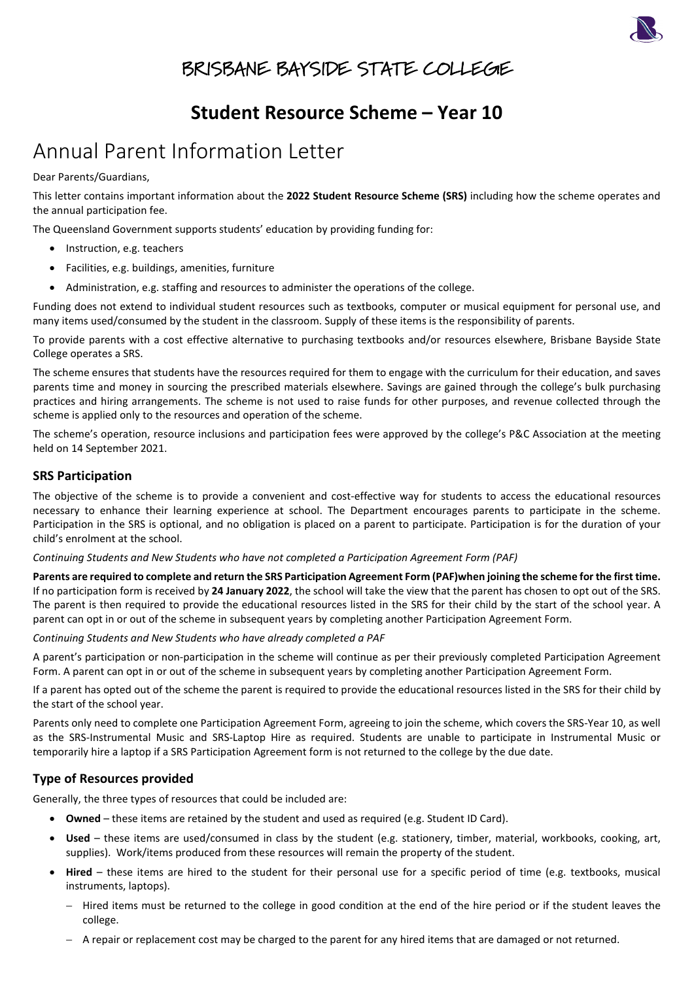

## BRISBANE BAYSIDE STATE COLLEGE

### **Student Resource Scheme – Year 10**

## Annual Parent Information Letter

Dear Parents/Guardians,

This letter contains important information about the **2022 Student Resource Scheme (SRS)** including how the scheme operates and the annual participation fee.

The Queensland Government supports students' education by providing funding for:

- Instruction, e.g. teachers
- Facilities, e.g. buildings, amenities, furniture
- Administration, e.g. staffing and resources to administer the operations of the college.

Funding does not extend to individual student resources such as textbooks, computer or musical equipment for personal use, and many items used/consumed by the student in the classroom. Supply of these items is the responsibility of parents.

To provide parents with a cost effective alternative to purchasing textbooks and/or resources elsewhere, Brisbane Bayside State College operates a SRS.

The scheme ensures that students have the resources required for them to engage with the curriculum for their education, and saves parents time and money in sourcing the prescribed materials elsewhere. Savings are gained through the college's bulk purchasing practices and hiring arrangements. The scheme is not used to raise funds for other purposes, and revenue collected through the scheme is applied only to the resources and operation of the scheme.

The scheme's operation, resource inclusions and participation fees were approved by the college's P&C Association at the meeting held on 14 September 2021.

### **SRS Participation**

The objective of the scheme is to provide a convenient and cost-effective way for students to access the educational resources necessary to enhance their learning experience at school. The Department encourages parents to participate in the scheme. Participation in the SRS is optional, and no obligation is placed on a parent to participate. Participation is for the duration of your child's enrolment at the school.

#### *Continuing Students and New Students who have not completed a Participation Agreement Form (PAF)*

**Parents are required to complete and return the SRS Participation Agreement Form (PAF)when joining the scheme for the first time.** If no participation form is received by **24 January 2022**, the school will take the view that the parent has chosen to opt out of the SRS. The parent is then required to provide the educational resources listed in the SRS for their child by the start of the school year. A parent can opt in or out of the scheme in subsequent years by completing another Participation Agreement Form.

*Continuing Students and New Students who have already completed a PAF*

A parent's participation or non-participation in the scheme will continue as per their previously completed Participation Agreement Form. A parent can opt in or out of the scheme in subsequent years by completing another Participation Agreement Form.

If a parent has opted out of the scheme the parent is required to provide the educational resources listed in the SRS for their child by the start of the school year.

Parents only need to complete one Participation Agreement Form, agreeing to join the scheme, which covers the SRS-Year 10, as well as the SRS-Instrumental Music and SRS-Laptop Hire as required. Students are unable to participate in Instrumental Music or temporarily hire a laptop if a SRS Participation Agreement form is not returned to the college by the due date.

#### **Type of Resources provided**

Generally, the three types of resources that could be included are:

- **Owned** these items are retained by the student and used as required (e.g. Student ID Card).
- **Used**  these items are used/consumed in class by the student (e.g. stationery, timber, material, workbooks, cooking, art, supplies). Work/items produced from these resources will remain the property of the student.
- **Hired**  these items are hired to the student for their personal use for a specific period of time (e.g. textbooks, musical instruments, laptops).
	- − Hired items must be returned to the college in good condition at the end of the hire period or if the student leaves the college.
	- − A repair or replacement cost may be charged to the parent for any hired items that are damaged or not returned.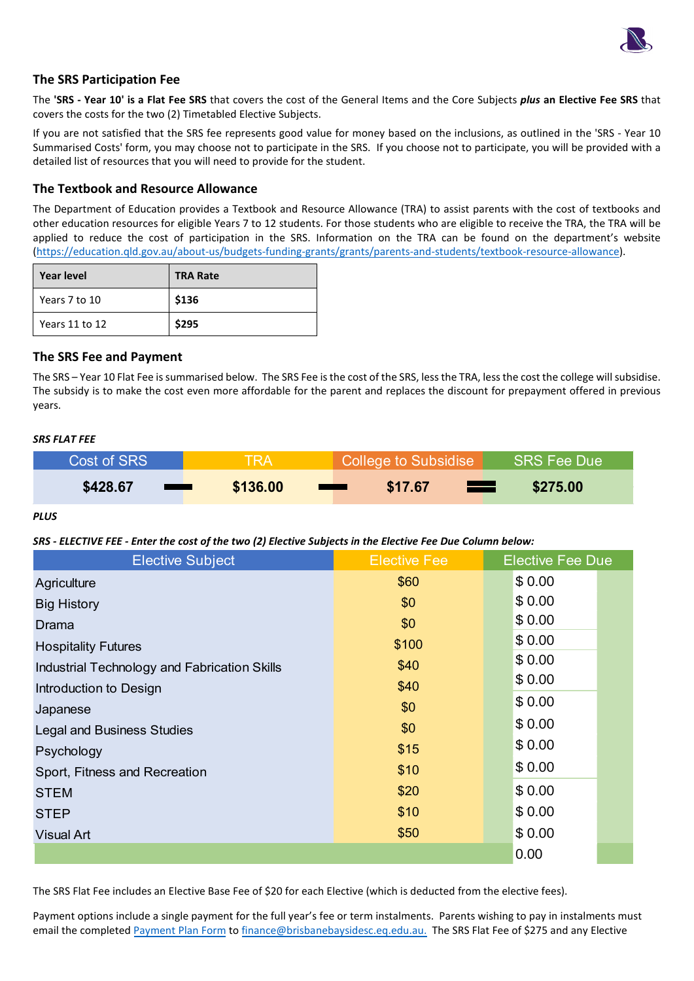

#### **The SRS Participation Fee**

The **'SRS - Year 10' is a Flat Fee SRS** that covers the cost of the General Items and the Core Subjects *plus* **an Elective Fee SRS** that covers the costs for the two (2) Timetabled Elective Subjects.

If you are not satisfied that the SRS fee represents good value for money based on the inclusions, as outlined in the 'SRS - Year 10 Summarised Costs' form, you may choose not to participate in the SRS. If you choose not to participate, you will be provided with a detailed list of resources that you will need to provide for the student.

#### **The Textbook and Resource Allowance**

The Department of Education provides a Textbook and Resource Allowance (TRA) to assist parents with the cost of textbooks and other education resources for eligible Years 7 to 12 students. For those students who are eligible to receive the TRA, the TRA will be applied to reduce the cost of participation in the SRS. Information on the TRA can be found on the department's website [\(https://education.qld.gov.au/about-us/budgets-funding-grants/grants/parents-and-students/textbook-resource-allowance\)](https://education.qld.gov.au/about-us/budgets-funding-grants/grants/parents-and-students/textbook-resource-allowance).

| <b>Year level</b> | <b>TRA Rate</b> |
|-------------------|-----------------|
| Years 7 to 10     | \$136           |
| Years 11 to 12    | \$295           |

#### **The SRS Fee and Payment**

The SRS – Year 10 Flat Fee is summarised below. The SRS Fee is the cost of the SRS, less the TRA, less the cost the college will subsidise. The subsidy is to make the cost even more affordable for the parent and replaces the discount for prepayment offered in previous years.

#### *SRS FLAT FEE*

| Cost of SRS                   | <b>TRA</b> | College to Subsidise | SRS Fee Due |
|-------------------------------|------------|----------------------|-------------|
| \$428.67<br><b>STATISTICS</b> | \$136,00   | \$17.67<br>a a se    | \$275.00    |

*PLUS* 

#### *SRS - ELECTIVE FEE - Enter the cost of the two (2) Elective Subjects in the Elective Fee Due Column below:*

| <b>Elective Subject</b>                      | <b>Elective Fee</b> | <b>Elective Fee Due</b> |
|----------------------------------------------|---------------------|-------------------------|
| Agriculture                                  | \$60                | \$0.00                  |
| <b>Big History</b>                           | \$0                 | \$0.00                  |
| Drama                                        | \$0                 | \$0.00                  |
| <b>Hospitality Futures</b>                   | \$100               | \$0.00                  |
| Industrial Technology and Fabrication Skills | \$40                | \$0.00                  |
| Introduction to Design                       | \$40                | \$0.00                  |
| Japanese                                     | \$0                 | \$0.00                  |
| <b>Legal and Business Studies</b>            | \$0                 | \$0.00                  |
| Psychology                                   | \$15                | \$0.00                  |
| Sport, Fitness and Recreation                | \$10                | \$0.00                  |
| <b>STEM</b>                                  | \$20                | \$0.00                  |
| <b>STEP</b>                                  | \$10                | \$0.00                  |
| <b>Visual Art</b>                            | \$50                | \$0.00                  |
|                                              |                     | 0.00                    |

The SRS Flat Fee includes an Elective Base Fee of \$20 for each Elective (which is deducted from the elective fees).

Payment options include a single payment for the full year's fee or term instalments. Parents wishing to pay in instalments must email the completed [Payment Plan Form](https://brisbanebaysidesc.eq.edu.au/supportandresources/formsanddocuments/documents/payments/payment-plan.pdf) to [finance@brisbanebaysidesc.eq.edu.au.](mailto:finance@brisbanebaysidesc.eq.edu.au) The SRS Flat Fee of \$275 and any Elective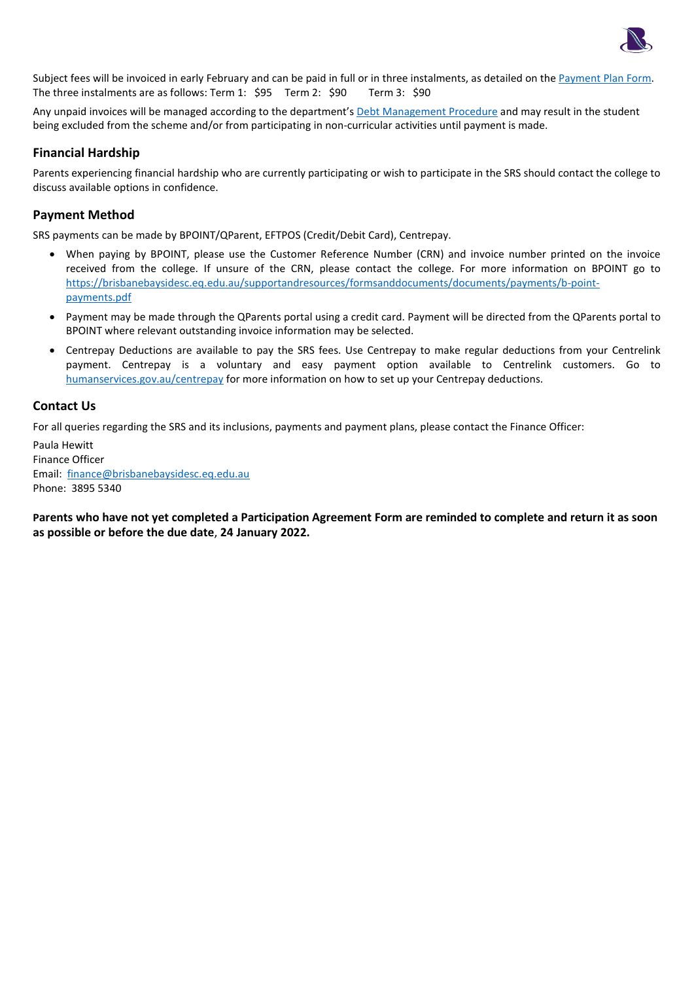

Subject fees will be invoiced in early February and can be paid in full or in three instalments, as detailed on th[e Payment Plan Form.](https://brisbanebaysidesc.eq.edu.au/supportandresources/formsanddocuments/documents/payments/payment-plan.pdf) The three instalments are as follows: Term 1: \$95 Term 2: \$90 Term 3: \$90

Any unpaid invoices will be managed according to the department's [Debt Management Procedure](https://ppr.qed.qld.gov.au/pp/debt-management-procedure) and may result in the student being excluded from the scheme and/or from participating in non-curricular activities until payment is made.

### **Financial Hardship**

Parents experiencing financial hardship who are currently participating or wish to participate in the SRS should contact the college to discuss available options in confidence.

### **Payment Method**

SRS payments can be made by BPOINT/QParent, EFTPOS (Credit/Debit Card), Centrepay.

- When paying by BPOINT, please use the Customer Reference Number (CRN) and invoice number printed on the invoice received from the college. If unsure of the CRN, please contact the college. For more information on BPOINT go to [https://brisbanebaysidesc.eq.edu.au/supportandresources/formsanddocuments/documents/payments/b-point](https://brisbanebaysidesc.eq.edu.au/supportandresources/formsanddocuments/documents/payments/b-point-payments.pdf)[payments.pdf](https://brisbanebaysidesc.eq.edu.au/supportandresources/formsanddocuments/documents/payments/b-point-payments.pdf)
- Payment may be made through the QParents portal using a credit card. Payment will be directed from the QParents portal to BPOINT where relevant outstanding invoice information may be selected.
- Centrepay Deductions are available to pay the SRS fees. Use Centrepay to make regular deductions from your Centrelink payment. Centrepay is a voluntary and easy payment option available to Centrelink customers. Go to [humanservices.gov.au/centrepay](https://www.humanservices.gov.au/individuals/services/centrelink/centrepay) for more information on how to set up your Centrepay deductions.

#### **Contact Us**

For all queries regarding the SRS and its inclusions, payments and payment plans, please contact the Finance Officer:

Paula Hewitt Finance Officer Email: [finance@brisbanebaysidesc.eq.edu.au](mailto:finance@brisbanebaysidesc.eq.edu.au?subject=SRS%20-%20Payment/Payment%20Plan%20Query) Phone: 3895 5340

**Parents who have not yet completed a Participation Agreement Form are reminded to complete and return it as soon as possible or before the due date**, **24 January 2022.**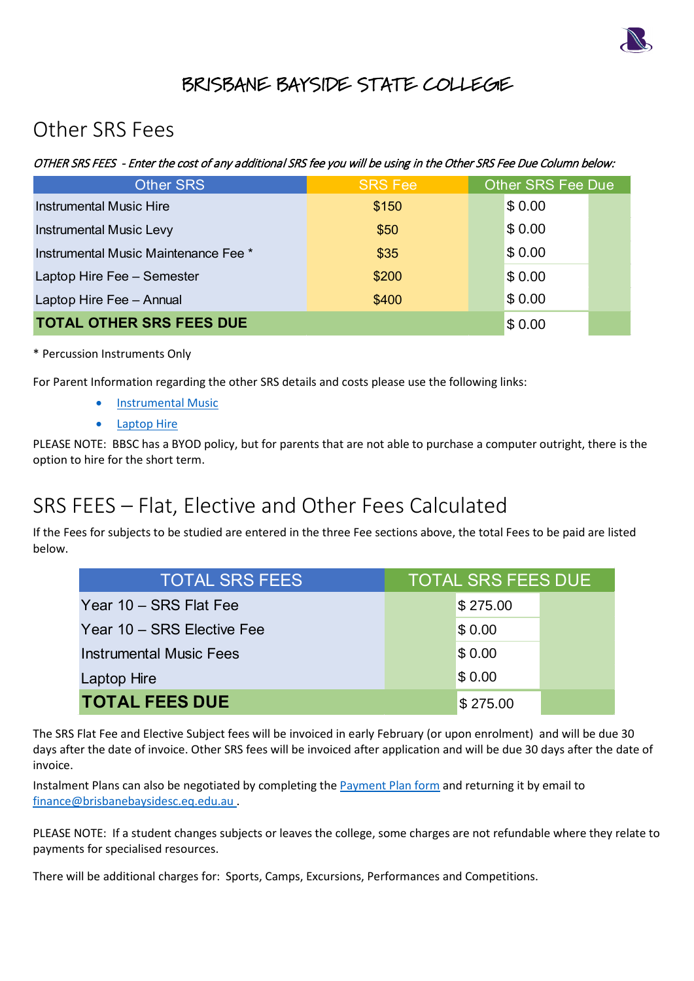

## BRISBANE BAYSIDE STATE COLLEGE

## Other SRS Fees

OTHER SRS FEES - Enter the cost of any additional SRS fee you will be using in the Other SRS Fee Due Column below:

| <b>Other SRS</b>                     | <b>SRS Fee</b> | Other SRS Fee Due |
|--------------------------------------|----------------|-------------------|
| <b>Instrumental Music Hire</b>       | \$150          | \$0.00            |
| <b>Instrumental Music Levy</b>       | \$50           | \$0.00            |
| Instrumental Music Maintenance Fee * | \$35           | \$0.00            |
| Laptop Hire Fee - Semester           | \$200          | \$0.00            |
| Laptop Hire Fee - Annual             | \$400          | \$0.00            |
| <b>TOTAL OTHER SRS FEES DUE</b>      |                | \$0.00            |

### \* Percussion Instruments Only

For Parent Information regarding the other SRS details and costs please use the following links:

- [Instrumental Music](https://brisbanebaysidesc.eq.edu.au/SupportAndResources/FormsAndDocuments/Documents/Student-resource-scheme/instrumental-music-scheme-parent-information-letter.pdf)
- [Laptop Hire](https://brisbanebaysidesc.eq.edu.au/SupportAndResources/FormsAndDocuments/Documents/Student-resource-scheme/laptop-hire-scheme-parent-information-letter.pdf)

PLEASE NOTE: BBSC has a BYOD policy, but for parents that are not able to purchase a computer outright, there is the option to hire for the short term.

# SRS FEES – Flat, Elective and Other Fees Calculated

If the Fees for subjects to be studied are entered in the three Fee sections above, the total Fees to be paid are listed below.

| <b>_ OTHER SRS FEES DUE</b>                                                                                                                                     | \$0.00                    |  |
|-----------------------------------------------------------------------------------------------------------------------------------------------------------------|---------------------------|--|
| sion Instruments Only                                                                                                                                           |                           |  |
| nt Information regarding the other SRS details and costs please use the following links:<br><b>Instrumental Music</b><br><b>Laptop Hire</b>                     |                           |  |
| NOTE: BBSC has a BYOD policy, but for parents that are not able to purchase a computer outright, there<br>hire for the short term.                              |                           |  |
| EES – Flat, Elective and Other Fees Calculated<br>es for subjects to be studied are entered in the three Fee sections above, the total Fees to be paid are list |                           |  |
| <b>TOTAL SRS FEES</b>                                                                                                                                           | <b>TOTAL SRS FEES DUE</b> |  |
| Year 10 - SRS Flat Fee                                                                                                                                          | \$275.00                  |  |
| Year 10 - SRS Elective Fee                                                                                                                                      | \$0.00                    |  |
| <b>Instrumental Music Fees</b>                                                                                                                                  | \$0.00                    |  |
| <b>Laptop Hire</b>                                                                                                                                              | \$0.00                    |  |
| <b>TOTAL FEES DUE</b>                                                                                                                                           | \$275.00                  |  |

The SRS Flat Fee and Elective Subject fees will be invoiced in early February (or upon enrolment) and will be due 30 days after the date of invoice. Other SRS fees will be invoiced after application and will be due 30 days after the date of invoice.

Instalment Plans can also be negotiated by completing th[e Payment Plan form](https://brisbanebaysidesc.eq.edu.au/supportandresources/formsanddocuments/documents/payments/payment-plan.pdf) and returning it by email to [finance@brisbanebaysidesc.eq.edu.au](mailto:finance@brisbanebaysidesc.eq.edu.au?subject=SRS%20-%20Payment/Payment%20Plan%20Query) .

PLEASE NOTE: If a student changes subjects or leaves the college, some charges are not refundable where they relate to payments for specialised resources.

There will be additional charges for: Sports, Camps, Excursions, Performances and Competitions.